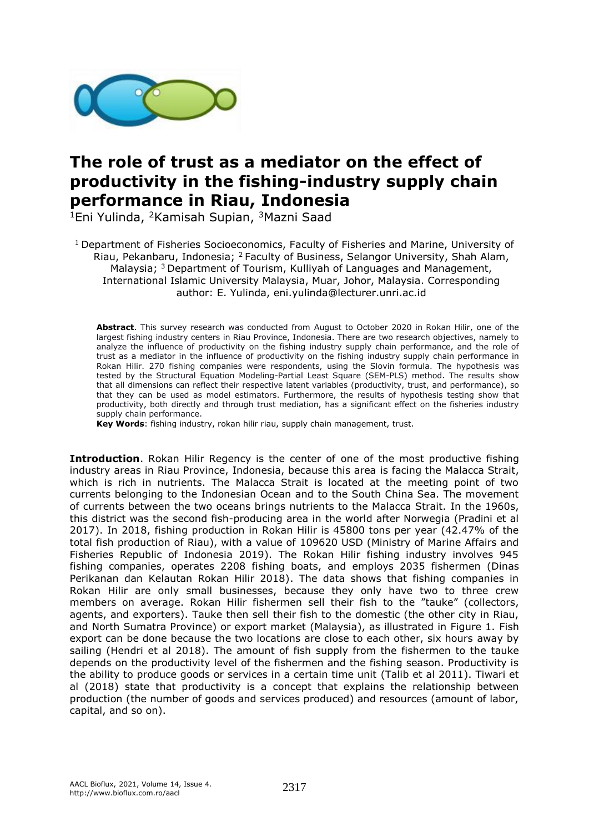

## **The role of trust as a mediator on the effect of productivity in the fishing-industry supply chain performance in Riau, Indonesia**

<sup>1</sup>Eni Yulinda, <sup>2</sup>Kamisah Supian, <sup>3</sup>Mazni Saad

<sup>1</sup> Department of Fisheries Socioeconomics, Faculty of Fisheries and Marine, University of Riau, Pekanbaru, Indonesia; <sup>2</sup> Faculty of Business, Selangor University, Shah Alam, Malaysia; <sup>3</sup> Department of Tourism, Kulliyah of Languages and Management, International Islamic University Malaysia, Muar, Johor, Malaysia. Corresponding author: E. Yulinda, eni.yulinda@lecturer.unri.ac.id

**Abstract**. This survey research was conducted from August to October 2020 in Rokan Hilir, one of the largest fishing industry centers in Riau Province, Indonesia. There are two research objectives, namely to analyze the influence of productivity on the fishing industry supply chain performance, and the role of trust as a mediator in the influence of productivity on the fishing industry supply chain performance in Rokan Hilir. 270 fishing companies were respondents, using the Slovin formula. The hypothesis was tested by the Structural Equation Modeling-Partial Least Square (SEM-PLS) method. The results show that all dimensions can reflect their respective latent variables (productivity, trust, and performance), so that they can be used as model estimators. Furthermore, the results of hypothesis testing show that productivity, both directly and through trust mediation, has a significant effect on the fisheries industry supply chain performance.

**Key Words**: fishing industry, rokan hilir riau, supply chain management, trust.

**Introduction**. Rokan Hilir Regency is the center of one of the most productive fishing industry areas in Riau Province, Indonesia, because this area is facing the Malacca Strait, which is rich in nutrients. The Malacca Strait is located at the meeting point of two currents belonging to the Indonesian Ocean and to the South China Sea. The movement of currents between the two oceans brings nutrients to the Malacca Strait. In the 1960s, this district was the second fish-producing area in the world after Norwegia (Pradini et al 2017). In 2018, fishing production in Rokan Hilir is 45800 tons per year (42.47% of the total fish production of Riau), with a value of 109620 USD (Ministry of Marine Affairs and Fisheries Republic of Indonesia 2019). The Rokan Hilir fishing industry involves 945 fishing companies, operates 2208 fishing boats, and employs 2035 fishermen (Dinas Perikanan dan Kelautan Rokan Hilir 2018). The data shows that fishing companies in Rokan Hilir are only small businesses, because they only have two to three crew members on average. Rokan Hilir fishermen sell their fish to the "tauke" (collectors, agents, and exporters). Tauke then sell their fish to the domestic (the other city in Riau, and North Sumatra Province) or export market (Malaysia), as illustrated in Figure 1. Fish export can be done because the two locations are close to each other, six hours away by sailing (Hendri et al 2018). The amount of fish supply from the fishermen to the tauke depends on the productivity level of the fishermen and the fishing season. Productivity is the ability to produce goods or services in a certain time unit (Talib et al 2011). Tiwari et al (2018) state that productivity is a concept that explains the relationship between production (the number of goods and services produced) and resources (amount of labor, capital, and so on).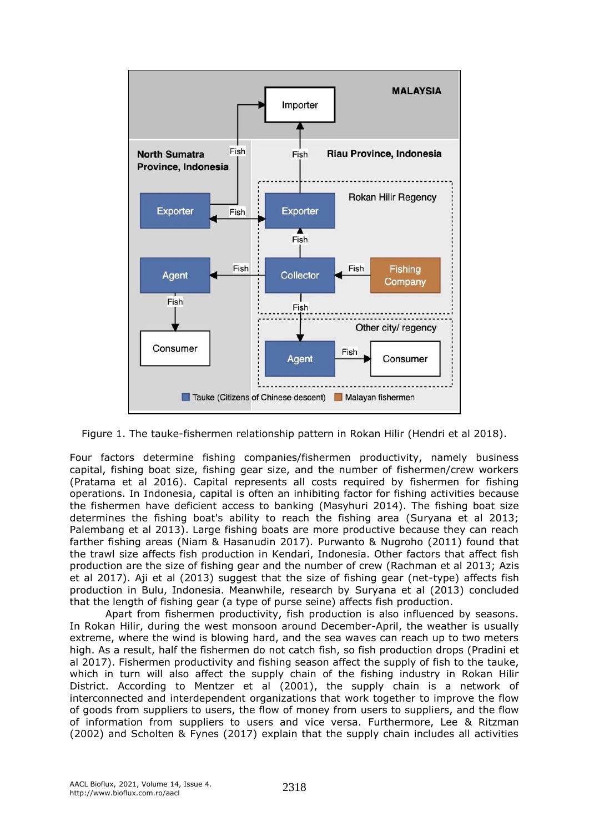

Figure 1. The tauke-fishermen relationship pattern in Rokan Hilir (Hendri et al 2018).

Four factors determine fishing companies/fishermen productivity, namely business capital, fishing boat size, fishing gear size, and the number of fishermen/crew workers (Pratama et al 2016). Capital represents all costs required by fishermen for fishing operations. In Indonesia, capital is often an inhibiting factor for fishing activities because the fishermen have deficient access to banking (Masyhuri 2014). The fishing boat size determines the fishing boat's ability to reach the fishing area (Suryana et al 2013; Palembang et al 2013). Large fishing boats are more productive because they can reach farther fishing areas (Niam & Hasanudin 2017). Purwanto & Nugroho (2011) found that the trawl size affects fish production in Kendari, Indonesia. Other factors that affect fish production are the size of fishing gear and the number of crew (Rachman et al 2013; Azis et al 2017). Aji et al (2013) suggest that the size of fishing gear (net-type) affects fish production in Bulu, Indonesia. Meanwhile, research by Suryana et al (2013) concluded that the length of fishing gear (a type of purse seine) affects fish production.

Apart from fishermen productivity, fish production is also influenced by seasons. In Rokan Hilir, during the west monsoon around December-April, the weather is usually extreme, where the wind is blowing hard, and the sea waves can reach up to two meters high. As a result, half the fishermen do not catch fish, so fish production drops (Pradini et al 2017). Fishermen productivity and fishing season affect the supply of fish to the tauke, which in turn will also affect the supply chain of the fishing industry in Rokan Hilir District. According to Mentzer et al (2001), the supply chain is a network of interconnected and interdependent organizations that work together to improve the flow of goods from suppliers to users, the flow of money from users to suppliers, and the flow of information from suppliers to users and vice versa. Furthermore, Lee & Ritzman (2002) and Scholten & Fynes (2017) explain that the supply chain includes all activities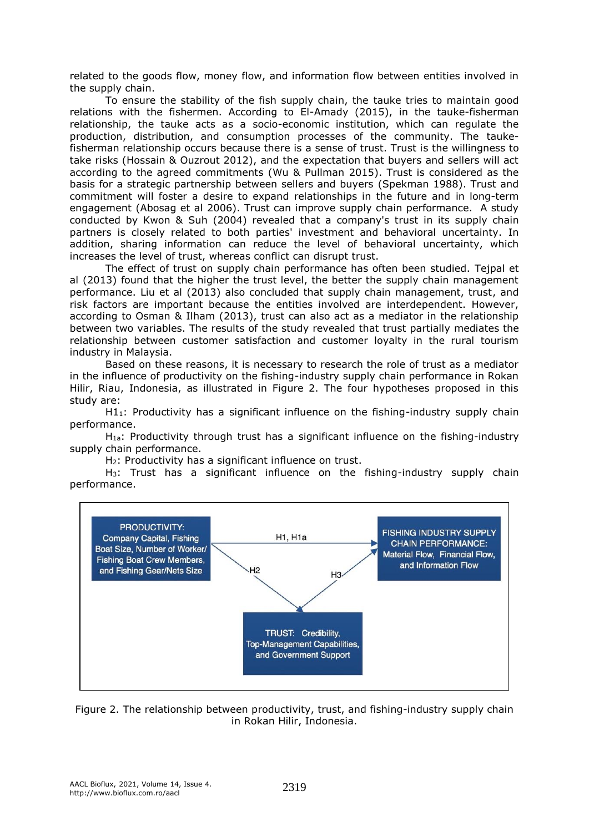related to the goods flow, money flow, and information flow between entities involved in the supply chain.

To ensure the stability of the fish supply chain, the tauke tries to maintain good relations with the fishermen. According to El-Amady (2015), in the tauke-fisherman relationship, the tauke acts as a socio-economic institution, which can regulate the production, distribution, and consumption processes of the community. The taukefisherman relationship occurs because there is a sense of trust. Trust is the willingness to take risks (Hossain & Ouzrout 2012), and the expectation that buyers and sellers will act according to the agreed commitments (Wu & Pullman 2015). Trust is considered as the basis for a strategic partnership between sellers and buyers (Spekman 1988). Trust and commitment will foster a desire to expand relationships in the future and in long-term engagement (Abosag et al 2006). Trust can improve supply chain performance. A study conducted by Kwon & Suh (2004) revealed that a company's trust in its supply chain partners is closely related to both parties' investment and behavioral uncertainty. In addition, sharing information can reduce the level of behavioral uncertainty, which increases the level of trust, whereas conflict can disrupt trust.

The effect of trust on supply chain performance has often been studied. Tejpal et al (2013) found that the higher the trust level, the better the supply chain management performance. Liu et al (2013) also concluded that supply chain management, trust, and risk factors are important because the entities involved are interdependent. However, according to Osman & Ilham (2013), trust can also act as a mediator in the relationship between two variables. The results of the study revealed that trust partially mediates the relationship between customer satisfaction and customer loyalty in the rural tourism industry in Malaysia.

Based on these reasons, it is necessary to research the role of trust as a mediator in the influence of productivity on the fishing-industry supply chain performance in Rokan Hilir, Riau, Indonesia, as illustrated in Figure 2. The four hypotheses proposed in this study are:

 $H1_1$ : Productivity has a significant influence on the fishing-industry supply chain performance.

H1a: Productivity through trust has a significant influence on the fishing-industry supply chain performance.

H2: Productivity has a significant influence on trust.

H3: Trust has a significant influence on the fishing-industry supply chain performance.



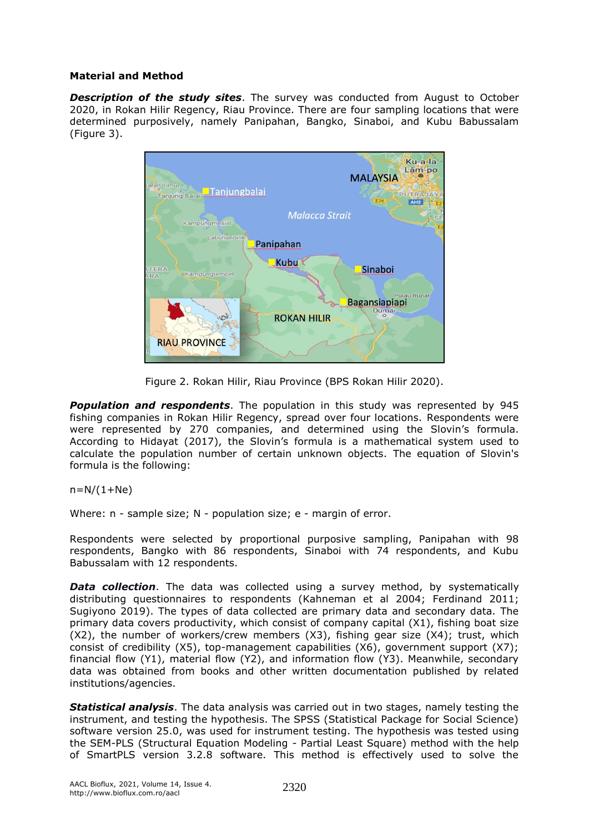## **Material and Method**

*Description of the study sites*. The survey was conducted from August to October 2020, in Rokan Hilir Regency, Riau Province. There are four sampling locations that were determined purposively, namely Panipahan, Bangko, Sinaboi, and Kubu Babussalam (Figure 3).



Figure 2. Rokan Hilir, Riau Province (BPS Rokan Hilir 2020).

*Population and respondents*. The population in this study was represented by 945 fishing companies in Rokan Hilir Regency, spread over four locations. Respondents were were represented by 270 companies, and determined using the Slovin's formula. According to Hidayat (2017), the Slovin's formula is a mathematical system used to calculate the population number of certain unknown objects. The equation of Slovin's formula is the following:

 $n=N/(1+Ne)$ 

Where: n - sample size; N - population size; e - margin of error.

Respondents were selected by proportional purposive sampling, Panipahan with 98 respondents, Bangko with 86 respondents, Sinaboi with 74 respondents, and Kubu Babussalam with 12 respondents.

**Data collection**. The data was collected using a survey method, by systematically distributing questionnaires to respondents (Kahneman et al 2004; Ferdinand 2011; Sugiyono 2019). The types of data collected are primary data and secondary data. The primary data covers productivity, which consist of company capital (X1), fishing boat size (X2), the number of workers/crew members (X3), fishing gear size (X4); trust, which consist of credibility (X5), top-management capabilities (X6), government support (X7); financial flow (Y1), material flow (Y2), and information flow (Y3). Meanwhile, secondary data was obtained from books and other written documentation published by related institutions/agencies.

*Statistical analysis*. The data analysis was carried out in two stages, namely testing the instrument, and testing the hypothesis. The SPSS (Statistical Package for Social Science) software version 25.0, was used for instrument testing. The hypothesis was tested using the SEM-PLS (Structural Equation Modeling - Partial Least Square) method with the help of SmartPLS version 3.2.8 software. This method is effectively used to solve the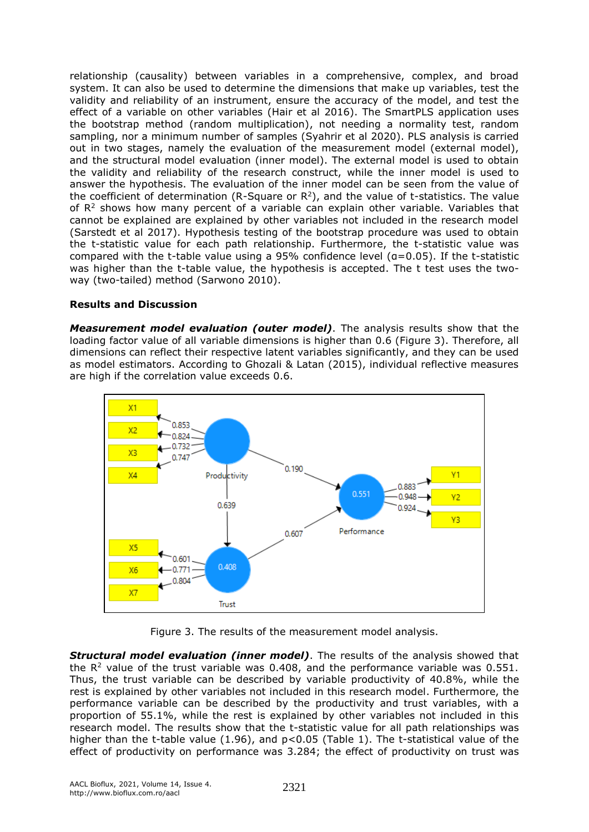relationship (causality) between variables in a comprehensive, complex, and broad system. It can also be used to determine the dimensions that make up variables, test the validity and reliability of an instrument, ensure the accuracy of the model, and test the effect of a variable on other variables (Hair et al 2016). The SmartPLS application uses the bootstrap method (random multiplication), not needing a normality test, random sampling, nor a minimum number of samples (Syahrir et al 2020). PLS analysis is carried out in two stages, namely the evaluation of the measurement model (external model), and the structural model evaluation (inner model). The external model is used to obtain the validity and reliability of the research construct, while the inner model is used to answer the hypothesis. The evaluation of the inner model can be seen from the value of the coefficient of determination (R-Square or  $\mathsf{R}^2$ ), and the value of t-statistics. The value of  $R<sup>2</sup>$  shows how many percent of a variable can explain other variable. Variables that cannot be explained are explained by other variables not included in the research model (Sarstedt et al 2017). Hypothesis testing of the bootstrap procedure was used to obtain the t-statistic value for each path relationship. Furthermore, the t-statistic value was compared with the t-table value using a 95% confidence level (α=0.05). If the t-statistic was higher than the t-table value, the hypothesis is accepted. The t test uses the twoway (two-tailed) method (Sarwono 2010).

## **Results and Discussion**

*Measurement model evaluation (outer model)*. The analysis results show that the loading factor value of all variable dimensions is higher than 0.6 (Figure 3). Therefore, all dimensions can reflect their respective latent variables significantly, and they can be used as model estimators. According to Ghozali & Latan (2015), individual reflective measures are high if the correlation value exceeds 0.6.



Figure 3. The results of the measurement model analysis.

*Structural model evaluation (inner model)*. The results of the analysis showed that the  $R<sup>2</sup>$  value of the trust variable was 0.408, and the performance variable was 0.551. Thus, the trust variable can be described by variable productivity of 40.8%, while the rest is explained by other variables not included in this research model. Furthermore, the performance variable can be described by the productivity and trust variables, with a proportion of 55.1%, while the rest is explained by other variables not included in this research model. The results show that the t-statistic value for all path relationships was higher than the t-table value (1.96), and  $p<0.05$  (Table 1). The t-statistical value of the effect of productivity on performance was 3.284; the effect of productivity on trust was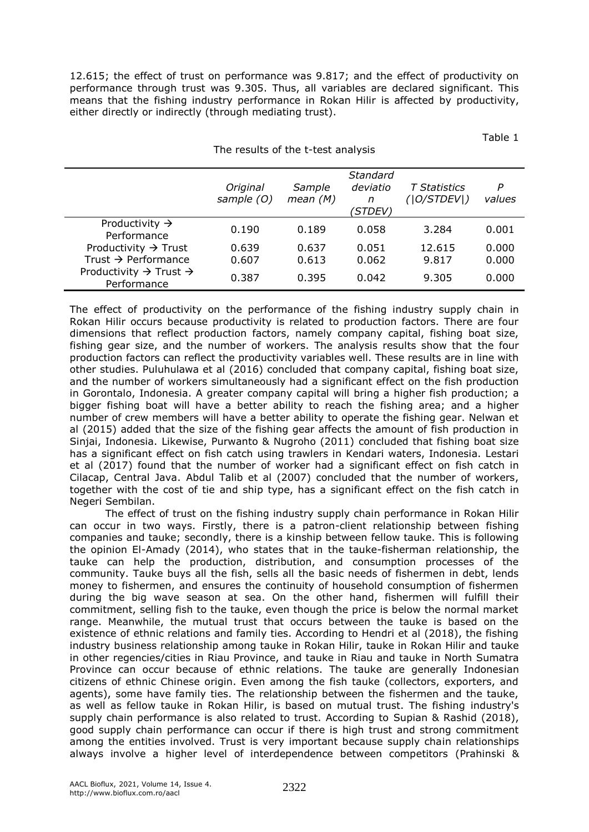12.615; the effect of trust on performance was 9.817; and the effect of productivity on performance through trust was 9.305. Thus, all variables are declared significant. This means that the fishing industry performance in Rokan Hilir is affected by productivity, either directly or indirectly (through mediating trust).

Table 1

| The results of the t-test analysis                                  |                        |                      |                                              |                                    |                |
|---------------------------------------------------------------------|------------------------|----------------------|----------------------------------------------|------------------------------------|----------------|
|                                                                     | Original<br>sample (O) | Sample<br>mean $(M)$ | Standard<br>deviatio<br>n<br><i>'STDEV</i> ) | <b>T</b> Statistics<br>( O/STDEV ) | P<br>values    |
| Productivity $\rightarrow$<br>Performance                           | 0.190                  | 0.189                | 0.058                                        | 3.284                              | 0.001          |
| Productivity $\rightarrow$ Trust<br>Trust $\rightarrow$ Performance | 0.639<br>0.607         | 0.637<br>0.613       | 0.051<br>0.062                               | 12.615<br>9.817                    | 0.000<br>0.000 |
| Productivity $\rightarrow$ Trust $\rightarrow$<br>Performance       | 0.387                  | 0.395                | 0.042                                        | 9.305                              | 0.000          |

The effect of productivity on the performance of the fishing industry supply chain in Rokan Hilir occurs because productivity is related to production factors. There are four dimensions that reflect production factors, namely company capital, fishing boat size, fishing gear size, and the number of workers. The analysis results show that the four production factors can reflect the productivity variables well. These results are in line with other studies. Puluhulawa et al (2016) concluded that company capital, fishing boat size, and the number of workers simultaneously had a significant effect on the fish production in Gorontalo, Indonesia. A greater company capital will bring a higher fish production; a bigger fishing boat will have a better ability to reach the fishing area; and a higher number of crew members will have a better ability to operate the fishing gear. Nelwan et al (2015) added that the size of the fishing gear affects the amount of fish production in Sinjai, Indonesia. Likewise, Purwanto & Nugroho (2011) concluded that fishing boat size has a significant effect on fish catch using trawlers in Kendari waters, Indonesia. Lestari et al (2017) found that the number of worker had a significant effect on fish catch in Cilacap, Central Java. Abdul Talib et al (2007) concluded that the number of workers, together with the cost of tie and ship type, has a significant effect on the fish catch in Negeri Sembilan.

The effect of trust on the fishing industry supply chain performance in Rokan Hilir can occur in two ways. Firstly, there is a patron-client relationship between fishing companies and tauke; secondly, there is a kinship between fellow tauke. This is following the opinion El-Amady (2014), who states that in the tauke-fisherman relationship, the tauke can help the production, distribution, and consumption processes of the community. Tauke buys all the fish, sells all the basic needs of fishermen in debt, lends money to fishermen, and ensures the continuity of household consumption of fishermen during the big wave season at sea. On the other hand, fishermen will fulfill their commitment, selling fish to the tauke, even though the price is below the normal market range. Meanwhile, the mutual trust that occurs between the tauke is based on the existence of ethnic relations and family ties. According to Hendri et al (2018), the fishing industry business relationship among tauke in Rokan Hilir, tauke in Rokan Hilir and tauke in other regencies/cities in Riau Province, and tauke in Riau and tauke in North Sumatra Province can occur because of ethnic relations. The tauke are generally Indonesian citizens of ethnic Chinese origin. Even among the fish tauke (collectors, exporters, and agents), some have family ties. The relationship between the fishermen and the tauke, as well as fellow tauke in Rokan Hilir, is based on mutual trust. The fishing industry's supply chain performance is also related to trust. According to Supian & Rashid (2018), good supply chain performance can occur if there is high trust and strong commitment among the entities involved. Trust is very important because supply chain relationships always involve a higher level of interdependence between competitors (Prahinski &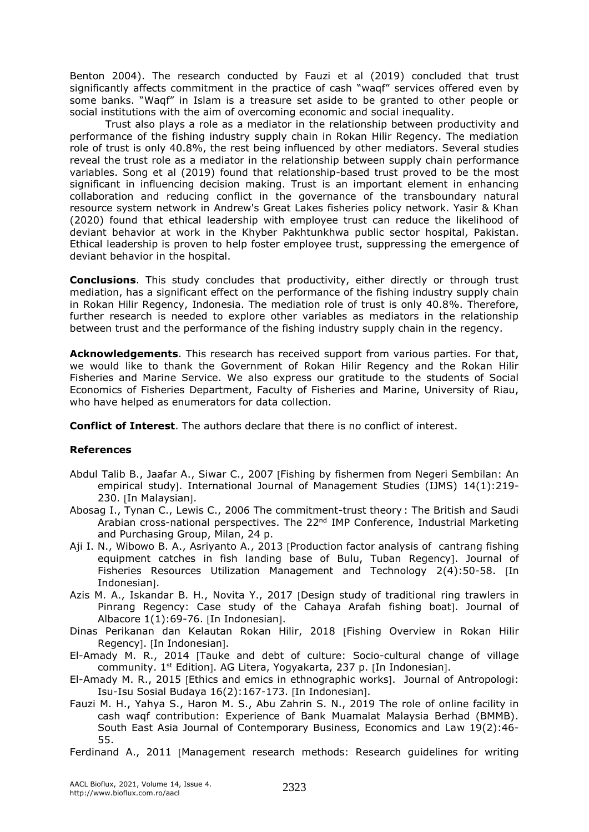Benton 2004). The research conducted by Fauzi et al (2019) concluded that trust significantly affects commitment in the practice of cash "waqf" services offered even by some banks. "Waqf" in Islam is a treasure set aside to be granted to other people or social institutions with the aim of overcoming economic and social inequality.

Trust also plays a role as a mediator in the relationship between productivity and performance of the fishing industry supply chain in Rokan Hilir Regency. The mediation role of trust is only 40.8%, the rest being influenced by other mediators. Several studies reveal the trust role as a mediator in the relationship between supply chain performance variables. Song et al (2019) found that relationship-based trust proved to be the most significant in influencing decision making. Trust is an important element in enhancing collaboration and reducing conflict in the governance of the transboundary natural resource system network in Andrew's Great Lakes fisheries policy network. Yasir & Khan (2020) found that ethical leadership with employee trust can reduce the likelihood of deviant behavior at work in the Khyber Pakhtunkhwa public sector hospital, Pakistan. Ethical leadership is proven to help foster employee trust, suppressing the emergence of deviant behavior in the hospital.

**Conclusions**. This study concludes that productivity, either directly or through trust mediation, has a significant effect on the performance of the fishing industry supply chain in Rokan Hilir Regency, Indonesia. The mediation role of trust is only 40.8%. Therefore, further research is needed to explore other variables as mediators in the relationship between trust and the performance of the fishing industry supply chain in the regency.

**Acknowledgements**. This research has received support from various parties. For that, we would like to thank the Government of Rokan Hilir Regency and the Rokan Hilir Fisheries and Marine Service. We also express our gratitude to the students of Social Economics of Fisheries Department, Faculty of Fisheries and Marine, University of Riau, who have helped as enumerators for data collection.

**Conflict of Interest**. The authors declare that there is no conflict of interest.

## **References**

- Abdul Talib B., Jaafar A., Siwar C., 2007 Fishing by fishermen from Negeri Sembilan: An empirical study]. International Journal of Management Studies (IJMS) 14(1):219-230. [In Malaysian].
- Abosag I., Tynan C., Lewis C., 2006 The commitment-trust theory : The British and Saudi Arabian cross-national perspectives. The  $22<sup>nd</sup>$  IMP Conference, Industrial Marketing and Purchasing Group, Milan, 24 p.
- Aji I. N., Wibowo B. A., Asriyanto A., 2013 [Production factor analysis of cantrang fishing equipment catches in fish landing base of Bulu, Tuban Regency]. Journal of Fisheries Resources Utilization Management and Technology 2(4):50-58. [In Indonesian<sub>1</sub>.
- Azis M. A., Iskandar B. H., Novita Y., 2017 [Design study of traditional ring trawlers in Pinrang Regency: Case study of the Cahaya Arafah fishing boat]. Journal of Albacore  $1(1):69-76$ . [In Indonesian].
- Dinas Perikanan dan Kelautan Rokan Hilir, 2018 Fishing Overview in Rokan Hilir Regency]. [In Indonesian].
- El-Amady M. R., 2014 Tauke and debt of culture: Socio-cultural change of village community. 1<sup>st</sup> Edition]. AG Litera, Yogyakarta, 237 p. [In Indonesian].
- El-Amady M. R., 2015 [Ethics and emics in ethnographic works]. Journal of Antropologi: Isu-Isu Sosial Budaya 16(2):167-173. [In Indonesian].
- Fauzi M. H., Yahya S., Haron M. S., Abu Zahrin S. N., 2019 The role of online facility in cash waqf contribution: Experience of Bank Muamalat Malaysia Berhad (BMMB). South East Asia Journal of Contemporary Business, Economics and Law 19(2):46- 55.
- Ferdinand A., 2011 [Management research methods: Research guidelines for writing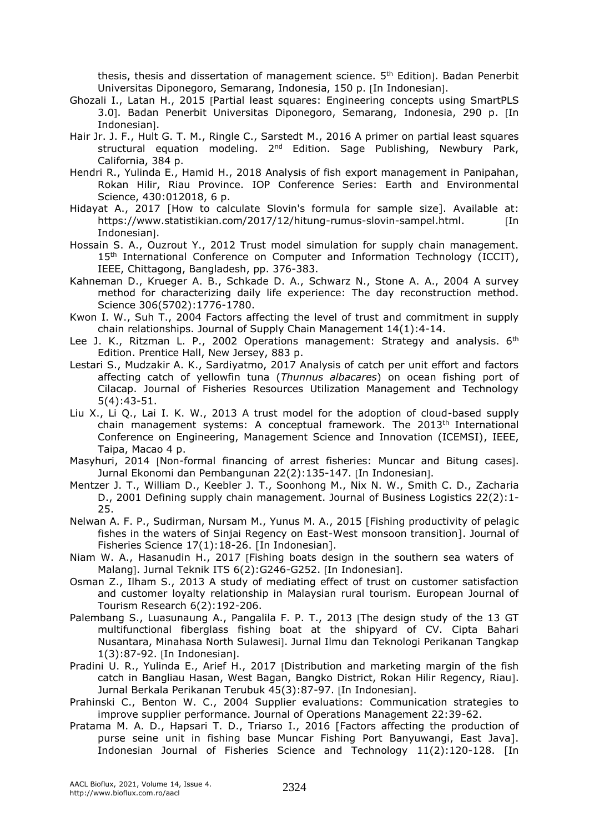thesis, thesis and dissertation of management science. 5<sup>th</sup> Edition]. Badan Penerbit Universitas Diponegoro, Semarang, Indonesia, 150 p. [In Indonesian].

- Ghozali I., Latan H., 2015 [Partial least squares: Engineering concepts using SmartPLS 3.0]. Badan Penerbit Universitas Diponegoro, Semarang, Indonesia, 290 p. [In Indonesian].
- Hair Jr. J. F., Hult G. T. M., Ringle C., Sarstedt M., 2016 A primer on partial least squares structural equation modeling. 2<sup>nd</sup> Edition. Sage Publishing, Newbury Park, California, 384 p.
- Hendri R., Yulinda E., Hamid H., 2018 Analysis of fish export management in Panipahan, Rokan Hilir, Riau Province. IOP Conference Series: Earth and Environmental Science, 430:012018, 6 p.
- Hidayat A., 2017 [How to calculate Slovin's formula for sample size]. Available at: https://www.statistikian.com/2017/12/hitung-rumus-slovin-sampel.html. [In Indonesian].
- Hossain S. A., Ouzrout Y., 2012 Trust model simulation for supply chain management. 15<sup>th</sup> International Conference on Computer and Information Technology (ICCIT), IEEE, Chittagong, Bangladesh, pp. 376-383.
- Kahneman D., Krueger A. B., Schkade D. A., Schwarz N., Stone A. A., 2004 A survey method for characterizing daily life experience: The day reconstruction method. Science 306(5702):1776-1780.
- Kwon I. W., Suh T., 2004 Factors affecting the level of trust and commitment in supply chain relationships. Journal of Supply Chain Management 14(1):4-14.
- Lee J. K., Ritzman L. P., 2002 Operations management: Strategy and analysis.  $6^{th}$ Edition. Prentice Hall, New Jersey, 883 p.
- Lestari S., Mudzakir A. K., Sardiyatmo, 2017 Analysis of catch per unit effort and factors affecting catch of yellowfin tuna (*Thunnus albacares*) on ocean fishing port of Cilacap. Journal of Fisheries Resources Utilization Management and Technology 5(4):43-51.
- Liu X., Li Q., Lai I. K. W., 2013 A trust model for the adoption of cloud-based supply chain management systems: A conceptual framework. The  $2013<sup>th</sup>$  International Conference on Engineering, Management Science and Innovation (ICEMSI), IEEE, Taipa, Macao 4 p.
- Masyhuri, 2014 [Non-formal financing of arrest fisheries: Muncar and Bitung cases]. Jurnal Ekonomi dan Pembangunan 22(2):135-147. [In Indonesian].
- Mentzer J. T., William D., Keebler J. T., Soonhong M., Nix N. W., Smith C. D., Zacharia D., 2001 Defining supply chain management. Journal of Business Logistics 22(2):1- 25.
- Nelwan A. F. P., Sudirman, Nursam M., Yunus M. A., 2015 [Fishing productivity of pelagic fishes in the waters of Sinjai Regency on East-West monsoon transition]. Journal of Fisheries Science 17(1):18-26. [In Indonesian].
- Niam W. A., Hasanudin H., 2017 Fishing boats design in the southern sea waters of Malang]. Jurnal Teknik ITS 6(2):G246-G252. [In Indonesian].
- Osman Z., Ilham S., 2013 A study of mediating effect of trust on customer satisfaction and customer loyalty relationship in Malaysian rural tourism. European Journal of Tourism Research 6(2):192-206.
- Palembang S., Luasunaung A., Pangalila F. P. T., 2013 [The design study of the 13 GT multifunctional fiberglass fishing boat at the shipyard of CV. Cipta Bahari Nusantara, Minahasa North Sulawesi]. Jurnal Ilmu dan Teknologi Perikanan Tangkap 1(3):87-92. [In Indonesian].
- Pradini U. R., Yulinda E., Arief H., 2017 [Distribution and marketing margin of the fish catch in Bangliau Hasan, West Bagan, Bangko District, Rokan Hilir Regency, Riau. Jurnal Berkala Perikanan Terubuk 45(3):87-97. [In Indonesian].
- Prahinski C., Benton W. C., 2004 Supplier evaluations: Communication strategies to improve supplier performance. Journal of Operations Management 22:39-62.
- Pratama M. A. D., Hapsari T. D., Triarso I., 2016 [Factors affecting the production of purse seine unit in fishing base Muncar Fishing Port Banyuwangi, East Java]. Indonesian Journal of Fisheries Science and Technology 11(2):120-128. [In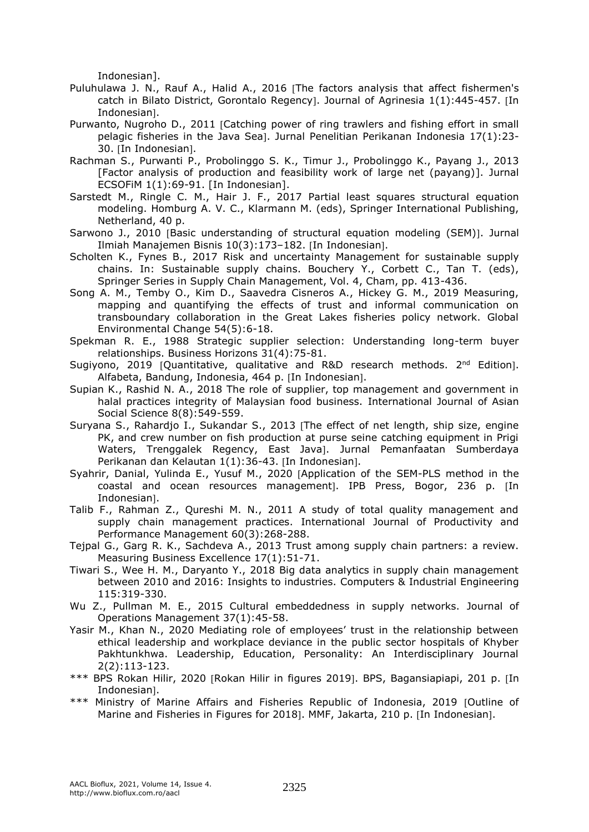Indonesian].

- Puluhulawa J. N., Rauf A., Halid A., 2016 The factors analysis that affect fishermen's catch in Bilato District, Gorontalo Regency. Journal of Agrinesia 1(1):445-457. In Indonesian].
- Purwanto, Nugroho D., 2011 [Catching power of ring trawlers and fishing effort in small pelagic fisheries in the Java Sea]. Jurnal Penelitian Perikanan Indonesia  $17(1):23-$ 30. In Indonesian.
- Rachman S., Purwanti P., Probolinggo S. K., Timur J., Probolinggo K., Payang J., 2013 [Factor analysis of production and feasibility work of large net (payang)]. Jurnal ECSOFiM 1(1):69-91. [In Indonesian].
- Sarstedt M., Ringle C. M., Hair J. F., 2017 Partial least squares structural equation modeling. Homburg A. V. C., Klarmann M. (eds), Springer International Publishing, Netherland, 40 p.
- Sarwono J., 2010 [Basic understanding of structural equation modeling (SEM)]. Jurnal Ilmiah Manajemen Bisnis 10(3):173-182. [In Indonesian].
- Scholten K., Fynes B., 2017 Risk and uncertainty Management for sustainable supply chains. In: Sustainable supply chains. Bouchery Y., Corbett C., Tan T. (eds), Springer Series in Supply Chain Management, Vol. 4, Cham, pp. 413-436.
- Song A. M., Temby O., Kim D., Saavedra Cisneros A., Hickey G. M., 2019 Measuring, mapping and quantifying the effects of trust and informal communication on transboundary collaboration in the Great Lakes fisheries policy network. Global Environmental Change 54(5):6-18.
- Spekman R. E., 1988 Strategic supplier selection: Understanding long-term buyer relationships. Business Horizons 31(4):75-81.
- Sugiyono, 2019 [Quantitative, qualitative and R&D research methods. 2<sup>nd</sup> Edition]. Alfabeta, Bandung, Indonesia, 464 p. [In Indonesian].
- Supian K., Rashid N. A., 2018 The role of supplier, top management and government in halal practices integrity of Malaysian food business. International Journal of Asian Social Science 8(8):549-559.
- Suryana S., Rahardjo I., Sukandar S., 2013 [The effect of net length, ship size, engine PK, and crew number on fish production at purse seine catching equipment in Prigi Waters, Trenggalek Regency, East Java]. Jurnal Pemanfaatan Sumberdaya Perikanan dan Kelautan 1(1):36-43. [In Indonesian].
- Syahrir, Danial, Yulinda E., Yusuf M., 2020 Application of the SEM-PLS method in the coastal and ocean resources management]. IPB Press, Bogor, 236 p. [In Indonesian<sub>]</sub>.
- Talib F., Rahman Z., Qureshi M. N., 2011 A study of total quality management and supply chain management practices. International Journal of Productivity and Performance Management 60(3):268-288.
- Tejpal G., Garg R. K., Sachdeva A., 2013 Trust among supply chain partners: a review. Measuring Business Excellence 17(1):51-71.
- Tiwari S., Wee H. M., Daryanto Y., 2018 Big data analytics in supply chain management between 2010 and 2016: Insights to industries. Computers & Industrial Engineering 115:319-330.
- Wu Z., Pullman M. E., 2015 Cultural embeddedness in supply networks. Journal of Operations Management 37(1):45-58.
- Yasir M., Khan N., 2020 Mediating role of employees' trust in the relationship between ethical leadership and workplace deviance in the public sector hospitals of Khyber Pakhtunkhwa. Leadership, Education, Personality: An Interdisciplinary Journal 2(2):113-123.
- \*\*\* BPS Rokan Hilir, 2020 [Rokan Hilir in figures 2019]. BPS, Bagansiapiapi, 201 p. [In Indonesian<sub>]</sub>.
- \*\*\* Ministry of Marine Affairs and Fisheries Republic of Indonesia, 2019 [Outline of Marine and Fisheries in Figures for 2018]. MMF, Jakarta, 210 p. [In Indonesian].